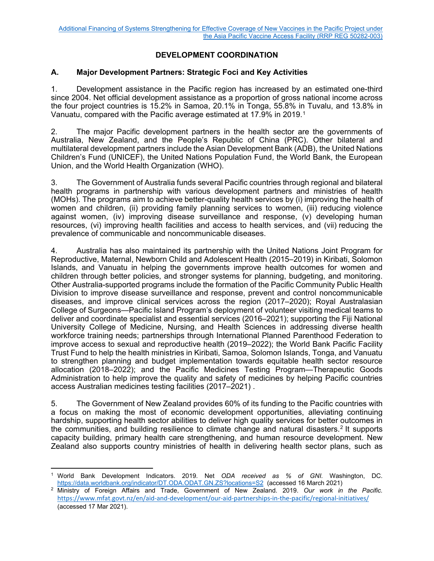# **DEVELOPMENT COORDINATION**

### **A. Major Development Partners: Strategic Foci and Key Activities**

1. Development assistance in the Pacific region has increased by an estimated one-third since 2004. Net official development assistance as a proportion of gross national income across the four project countries is 15.2% in Samoa, 20.1% in Tonga, 55.8% in Tuvalu, and 13.8% in Vanuatu, compared with the Pacific average estimated at 17.9% in 2019.[1](#page-0-0)

2. The major Pacific development partners in the health sector are the governments of Australia, New Zealand, and the People's Republic of China (PRC). Other bilateral and multilateral development partners include the Asian Development Bank (ADB), the United Nations Children's Fund (UNICEF), the United Nations Population Fund, the World Bank, the European Union, and the World Health Organization (WHO).

3. The Government of Australia funds several Pacific countries through regional and bilateral health programs in partnership with various development partners and ministries of health (MOHs). The programs aim to achieve better-quality health services by (i) improving the health of women and children, (ii) providing family planning services to women, (iii) reducing violence against women, (iv) improving disease surveillance and response, (v) developing human resources, (vi) improving health facilities and access to health services, and (vii) reducing the prevalence of communicable and noncommunicable diseases.

4. Australia has also maintained its partnership with the United Nations Joint Program for Reproductive, Maternal, Newborn Child and Adolescent Health (2015–2019) in Kiribati, Solomon Islands, and Vanuatu in helping the governments improve health outcomes for women and children through better policies, and stronger systems for planning, budgeting, and monitoring. Other Australia-supported programs include the formation of the Pacific Community Public Health Division to improve disease surveillance and response, prevent and control noncommunicable diseases, and improve clinical services across the region (2017–2020); Royal Australasian College of Surgeons—Pacific Island Program's deployment of volunteer visiting medical teams to deliver and coordinate specialist and essential services (2016–2021); supporting the Fiji National University College of Medicine, Nursing, and Health Sciences in addressing diverse health workforce training needs; partnerships through International Planned Parenthood Federation to improve access to sexual and reproductive health (2019–2022); the World Bank Pacific Facility Trust Fund to help the health ministries in Kiribati, Samoa, Solomon Islands, Tonga, and Vanuatu to strengthen planning and budget implementation towards equitable health sector resource allocation (2018–2022); and the Pacific Medicines Testing Program—Therapeutic Goods Administration to help improve the quality and safety of medicines by helping Pacific countries access Australian medicines testing facilities (2017–2021) .

5. The Government of New Zealand provides 60% of its funding to the Pacific countries with a focus on making the most of economic development opportunities, alleviating continuing hardship, supporting health sector abilities to deliver high quality services for better outcomes in the communities, and building resilience to climate change and natural disasters.<sup>[2](#page-0-1)</sup> It supports capacity building, primary health care strengthening, and human resource development. New Zealand also supports country ministries of health in delivering health sector plans, such as

<span id="page-0-0"></span><sup>1</sup> World Bank Development Indicators. 2019. Net *ODA received as % of GNI.* Washington, DC. <https://data.worldbank.org/indicator/DT.ODA.ODAT.GN.ZS?locations=S2>(accessed 16 March 2021)

<span id="page-0-1"></span><sup>2</sup> Ministry of Foreign Affairs and Trade, Government of New Zealand. 2019. *Our work in the Pacific.* <https://www.mfat.govt.nz/en/aid-and-development/our-aid-partnerships-in-the-pacific/regional-initiatives/> (accessed 17 Mar 2021).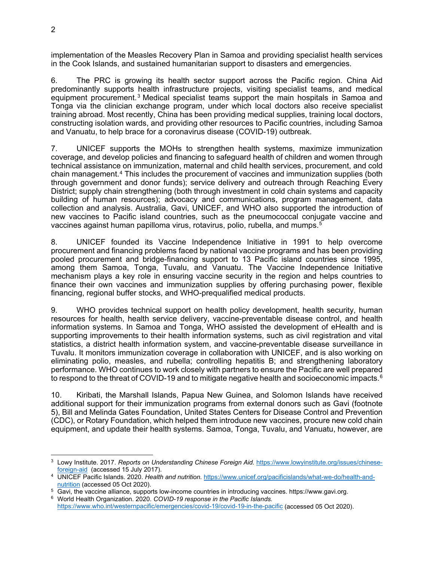implementation of the Measles Recovery Plan in Samoa and providing specialist health services in the Cook Islands, and sustained humanitarian support to disasters and emergencies.

6. The PRC is growing its health sector support across the Pacific region. China Aid predominantly supports health infrastructure projects, visiting specialist teams, and medical equipment procurement.[3](#page-1-0) Medical specialist teams support the main hospitals in Samoa and Tonga via the clinician exchange program, under which local doctors also receive specialist training abroad. Most recently, China has been providing medical supplies, training local doctors, constructing isolation wards, and providing other resources to Pacific countries, including Samoa and Vanuatu, to help brace for a coronavirus disease (COVID-19) outbreak.

7. UNICEF supports the MOHs to strengthen health systems, maximize immunization coverage, and develop policies and financing to safeguard health of children and women through technical assistance on immunization, maternal and child health services, procurement, and cold chain management.[4](#page-1-1) This includes the procurement of vaccines and immunization supplies (both through government and donor funds); service delivery and outreach through Reaching Every District; supply chain strengthening (both through investment in cold chain systems and capacity building of human resources); advocacy and communications, program management, data collection and analysis. Australia, Gavi, UNICEF, and WHO also supported the introduction of new vaccines to Pacific island countries, such as the pneumococcal conjugate vaccine and vaccines against human papilloma virus, rotavirus, polio, rubella, and mumps.[5](#page-1-2)

8. UNICEF founded its Vaccine Independence Initiative in 1991 to help overcome procurement and financing problems faced by national vaccine programs and has been providing pooled procurement and bridge-financing support to 13 Pacific island countries since 1995, among them Samoa, Tonga, Tuvalu, and Vanuatu. The Vaccine Independence Initiative mechanism plays a key role in ensuring vaccine security in the region and helps countries to finance their own vaccines and immunization supplies by offering purchasing power, flexible financing, regional buffer stocks, and WHO-prequalified medical products.

9. WHO provides technical support on health policy development, health security, human resources for health, health service delivery, vaccine-preventable disease control, and health information systems. In Samoa and Tonga, WHO assisted the development of eHealth and is supporting improvements to their health information systems, such as civil registration and vital statistics, a district health information system, and vaccine-preventable disease surveillance in Tuvalu. It monitors immunization coverage in collaboration with UNICEF, and is also working on eliminating polio, measles, and rubella; controlling hepatitis B; and strengthening laboratory performance. WHO continues to work closely with partners to ensure the Pacific are well prepared to respond to the threat of COVID-19 and to mitigate negative health and socioeconomic impacts. $^{\rm 6}$  $^{\rm 6}$  $^{\rm 6}$ 

10. Kiribati, the Marshall Islands, Papua New Guinea, and Solomon Islands have received additional support for their immunization programs from external donors such as Gavi (footnote 5), Bill and Melinda Gates Foundation, United States Centers for Disease Control and Prevention (CDC), or Rotary Foundation, which helped them introduce new vaccines, procure new cold chain equipment, and update their health systems. Samoa, Tonga, Tuvalu, and Vanuatu, however, are

<span id="page-1-0"></span><sup>3</sup> Lowy Institute. 2017. *Reports on Understanding Chinese Foreign Aid.* [https://www.lowyinstitute.org/issues/chinese](https://www.lowyinstitute.org/issues/chinese-foreign-aid)[foreign-aid](https://www.lowyinstitute.org/issues/chinese-foreign-aid) (accessed 15 July 2017).

<span id="page-1-1"></span><sup>4</sup> UNICEF Pacific Islands. 2020. *Health and nutrition.* [https://www.unicef.org/pacificislands/what-we-do/health-and](https://www.unicef.org/pacificislands/what-we-do/health-and-nutrition)[nutrition](https://www.unicef.org/pacificislands/what-we-do/health-and-nutrition) (accessed 05 Oct 2020).

<span id="page-1-3"></span><span id="page-1-2"></span><sup>5</sup> Gavi, the vaccine alliance, supports low-income countries in introducing vaccines. https://www.gavi.org. <sup>6</sup> World Health Organization. 2020. *COVID-19 response in the Pacific Islands.* 

<https://www.who.int/westernpacific/emergencies/covid-19/covid-19-in-the-pacific> (accessed 05 Oct 2020).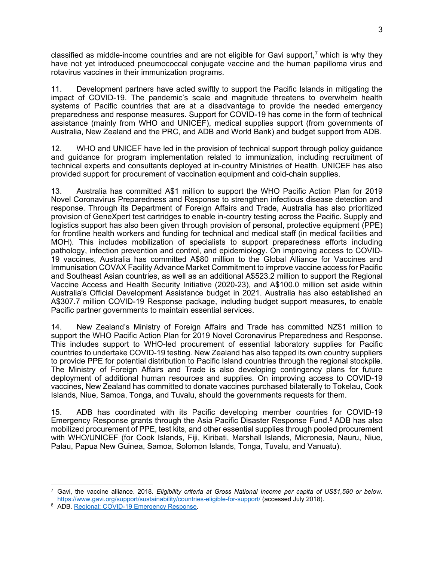classified as middle-income countries and are not eligible for Gavi support, $\bar{\ }$  which is why they have not yet introduced pneumococcal conjugate vaccine and the human papilloma virus and rotavirus vaccines in their immunization programs.

11. Development partners have acted swiftly to support the Pacific Islands in mitigating the impact of COVID-19. The pandemic's scale and magnitude threatens to overwhelm health systems of Pacific countries that are at a disadvantage to provide the needed emergency preparedness and response measures. Support for COVID-19 has come in the form of technical assistance (mainly from WHO and UNICEF), medical supplies support (from governments of Australia, New Zealand and the PRC, and ADB and World Bank) and budget support from ADB.

12. WHO and UNICEF have led in the provision of technical support through policy guidance and guidance for program implementation related to immunization, including recruitment of technical experts and consultants deployed at in-country Ministries of Health. UNICEF has also provided support for procurement of vaccination equipment and cold-chain supplies.

13. Australia has committed A\$1 million to support the WHO Pacific Action Plan for 2019 Novel Coronavirus Preparedness and Response to strengthen infectious disease detection and response. Through its Department of Foreign Affairs and Trade, Australia has also prioritized provision of GeneXpert test cartridges to enable in-country testing across the Pacific. Supply and logistics support has also been given through provision of personal, protective equipment (PPE) for frontline health workers and funding for technical and medical staff (in medical facilities and MOH). This includes mobilization of specialists to support preparedness efforts including pathology, infection prevention and control, and epidemiology. On improving access to COVID-19 vaccines, Australia has committed A\$80 million to the Global Alliance for Vaccines and Immunisation COVAX Facility Advance Market Commitment to improve vaccine access for Pacific and Southeast Asian countries, as well as an additional A\$523.2 million to support the Regional Vaccine Access and Health Security Initiative (2020-23), and A\$100.0 million set aside within Australia's Official Development Assistance budget in 2021. Australia has also established an A\$307.7 million COVID-19 Response package, including budget support measures, to enable Pacific partner governments to maintain essential services.

14. New Zealand's Ministry of Foreign Affairs and Trade has committed NZ\$1 million to support the WHO Pacific Action Plan for 2019 Novel Coronavirus Preparedness and Response. This includes support to WHO-led procurement of essential laboratory supplies for Pacific countries to undertake COVID-19 testing. New Zealand has also tapped its own country suppliers to provide PPE for potential distribution to Pacific Island countries through the regional stockpile. The Ministry of Foreign Affairs and Trade is also developing contingency plans for future deployment of additional human resources and supplies. On improving access to COVID-19 vaccines, New Zealand has committed to donate vaccines purchased bilaterally to Tokelau, Cook Islands, Niue, Samoa, Tonga, and Tuvalu, should the governments requests for them.

15. ADB has coordinated with its Pacific developing member countries for COVID-19 Emergency Response grants through the Asia Pacific Disaster Response Fund.<sup>[8](#page-2-1)</sup> ADB has also mobilized procurement of PPE, test kits, and other essential supplies through pooled procurement with WHO/UNICEF (for Cook Islands, Fiji, Kiribati, Marshall Islands, Micronesia, Nauru, Niue, Palau, Papua New Guinea, Samoa, Solomon Islands, Tonga, Tuvalu, and Vanuatu).

<span id="page-2-0"></span><sup>7</sup> Gavi, the vaccine alliance. 2018. *Eligibility criteria at Gross National Income per capita of US\$1,580 or below.* <https://www.gavi.org/support/sustainability/countries-eligible-for-support/> (accessed July 2018).

<span id="page-2-1"></span><sup>8</sup> ADB. [Regional: COVID-19 Emergency Response.](https://www.adb.org/projects/54135-003/main)